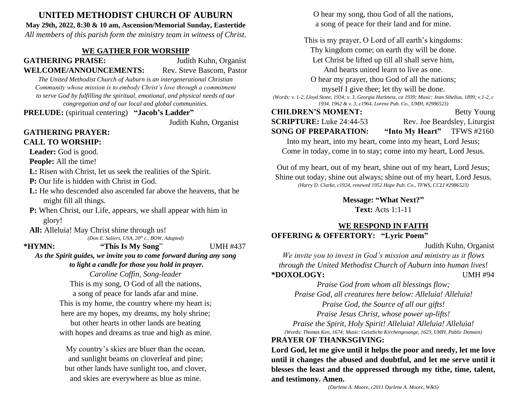# **UNITED METHODIST CHURCH OF AUBURN**

**May 29th, 2022, 8:30 & 10 am, Ascension/Memorial Sunday, Eastertide** *All members of this parish form the ministry team in witness of Christ.*

## **WE GATHER FOR WORSHIP**

**GATHERING PRAISE:** Judith Kuhn, Organist **WELCOME/ANNOUNCEMENTS:** Rev. Steve Bascom, Pastor

*The United Methodist Church of Auburn is an intergenerational Christian Community whose mission is to embody Christ's love through a commitment to serve God by fulfilling the spiritual, emotional, and physical needs of our congregation and of our local and global communities.*

**PRELUDE:** (spiritual centering) **"Jacob's Ladder"**

Judith Kuhn, Organist

### **GATHERING PRAYER: CALL TO WORSHIP:**

Leader: God is good.

**People:** All the time!

- **L:** Risen with Christ, let us seek the realities of the Spirit.
- **P:** Our life is hidden with Christ in God.
- L: He who descended also ascended far above the heavens, that he might fill all things.
- **P:** When Christ, our Life, appears, we shall appear with him in glory!
- **All:** Alleluia! May Christ shine through us!

*(Don E. Saliers, USA, 20th c., BOW, Adapted)*

**\*HYMN: "This Is My Song**" UMH #437

*As the Spirit guides, we invite you to come forward during any song to light a candle for those you hold in prayer.*

> *Caroline Coffin, Song-leader* This is my song, O God of all the nations, a song of peace for lands afar and mine. This is my home, the country where my heart is; here are my hopes, my dreams, my holy shrine; but other hearts in other lands are beating with hopes and dreams as true and high as mine.

My country's skies are bluer than the ocean, and sunlight beams on cloverleaf and pine; but other lands have sunlight too, and clover, and skies are everywhere as blue as mine.

O hear my song, thou God of all the nations, a song of peace for their land and for mine.

This is my prayer, O Lord of all earth's kingdoms: Thy kingdom come; on earth thy will be done. Let Christ be lifted up till all shall serve him, And hearts united learn to live as one. O hear my prayer, thou God of all the nations; myself I give thee; let thy will be done.

*(Words: v. 1-2, Lloyd Stone, 1934; v. 3, Georgia Harkness, ca 1939; Music: Jean Sibelius, 1899; v.1-2, c 1934, 1962 & v. 3, c1964, Lorenz Pub. Co., UMH, #2986523)*

#### **CHILDREN'S MOMENT:** Betty Young

**SCRIPTURE:** Luke 24:44-53 Rev. Joe Beardsley, Liturgist

**SONG OF PREPARATION: "Into My Heart"** TFWS #2160

Into my heart, into my heart, come into my heart, Lord Jesus; Come in today, come in to stay; come into my heart, Lord Jesus.

Out of my heart, out of my heart, shine out of my heart, Lord Jesus; Shine out today, shine out always; shine out of my heart, Lord Jesus. *(Harry D. Clarke, c1924, renewed 1952 Hope Pub. Co., TFWS, CCLI #2986523)*

**Message: "What Next?"**

**Text:** Acts 1:1-11

#### **WE RESPOND IN FAITH OFFERING & OFFERTORY: "Lyric Poem"**

Judith Kuhn, Organist

*We invite you to invest in God's mission and ministry as it flows through the United Methodist Church of Auburn into human lives!* **\*DOXOLOGY:** UMH #94

*Praise God from whom all blessings flow; Praise God, all creatures here below: Alleluia! Alleluia! Praise God, the Source of all our gifts! Praise Jesus Christ, whose power up-lifts! Praise the Spirit, Holy Spirit! Alleluia! Alleluia! Alleluia! (Words: Thomas Ken, 1674; Music: Geistliche Kirchengesange, 1623, UMH, Public Domain)*

## **PRAYER OF THANKSGIVING:**

**Lord God, let me give until it helps the poor and needy, let me love until it changes the abused and doubtful, and let me serve until it blesses the least and the oppressed through my tithe, time, talent, and testimony. Amen.**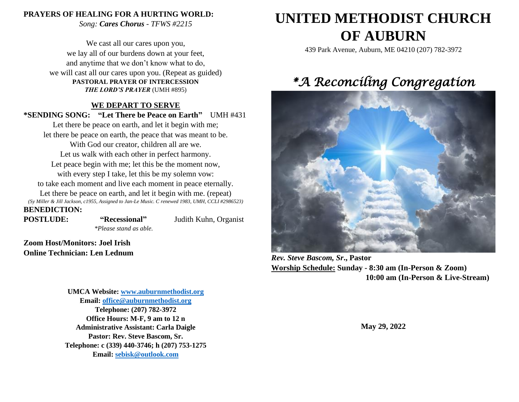#### **PRAYERS OF HEALING FOR A HURTING WORLD:**

*Song: Cares Chorus - TFWS #2215*

We cast all our cares upon you, we lay all of our burdens down at your feet, and anytime that we don't know what to do, we will cast all our cares upon you. (Repeat as guided) **PASTORAL PRAYER OF INTERCESSION** *THE LORD'S PRAYER* (UMH #895)

### **WE DEPART TO SERVE**

**\*SENDING SONG: "Let There be Peace on Earth"** UMH #431

Let there be peace on earth, and let it begin with me; let there be peace on earth, the peace that was meant to be. With God our creator, children all are we. Let us walk with each other in perfect harmony. Let peace begin with me; let this be the moment now, with every step I take, let this be my solemn vow: to take each moment and live each moment in peace eternally. Let there be peace on earth, and let it begin with me. (repeat) *(Sy Miller & Jill Jackson, c1955, Assigned to Jan-Le Music. C renewed 1983, UMH, CCLI #2986523)* **BENEDICTION:**

**POSTLUDE: "Recessional"** Judith Kuhn, Organist *\*Please stand as able.*

**Zoom Host/Monitors: Joel Irish Online Technician: Len Lednum**

> **UMCA Website: [www.auburnmethodist.org](http://www.auburnmethodist.org/) Email: [office@auburnmethodist.org](mailto:office@auburnmethodist.org) Telephone: (207) 782-3972 Office Hours: M-F, 9 am to 12 n Administrative Assistant: Carla Daigle Pastor: Rev. Steve Bascom, Sr. Telephone: c (339) 440-3746; h (207) 753-1275 Email: [sebisk@outlook.com](mailto:sebisk@outlook.com)**

# **UNITED METHODIST CHURCH OF AUBURN**

439 Park Avenue, Auburn, ME 04210 (207) 782-3972

# *\*A Reconciling Congregation*



*Rev. Steve Bascom, Sr***., Pastor Worship Schedule: Sunday - 8:30 am (In-Person & Zoom) 10:00 am (In-Person & Live-Stream)**

**May 29, 2022**